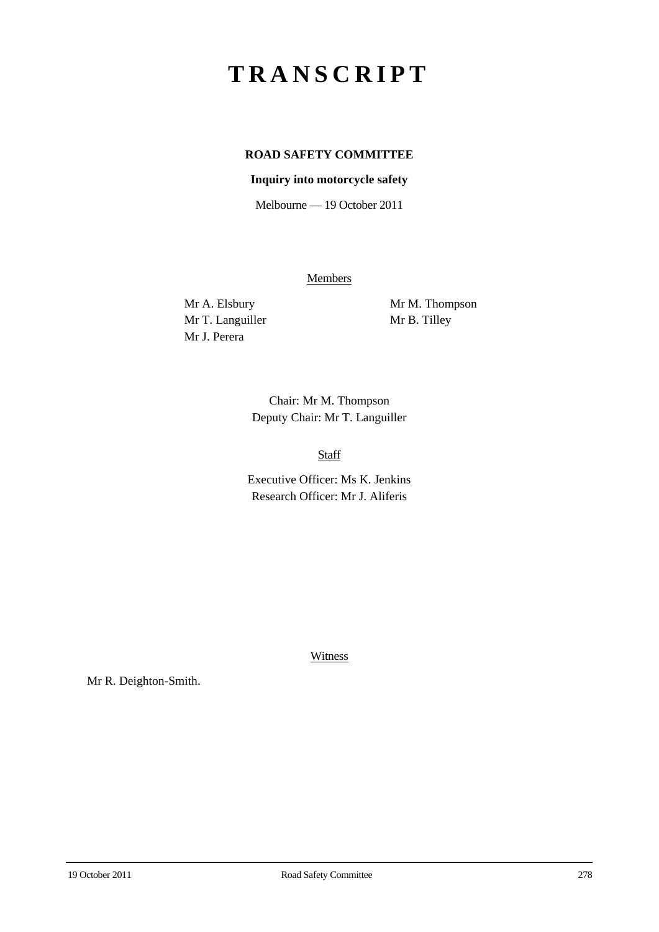# **TRANSCRIPT**

# **ROAD SAFETY COMMITTEE**

## **Inquiry into motorcycle safety**

Melbourne — 19 October 2011

**Members** 

Mr T. Languiller Mr B. Tilley Mr J. Perera

Mr A. Elsbury Mr M. Thompson

Chair: Mr M. Thompson Deputy Chair: Mr T. Languiller

Staff

Executive Officer: Ms K. Jenkins Research Officer: Mr J. Aliferis

**Witness** 

Mr R. Deighton-Smith.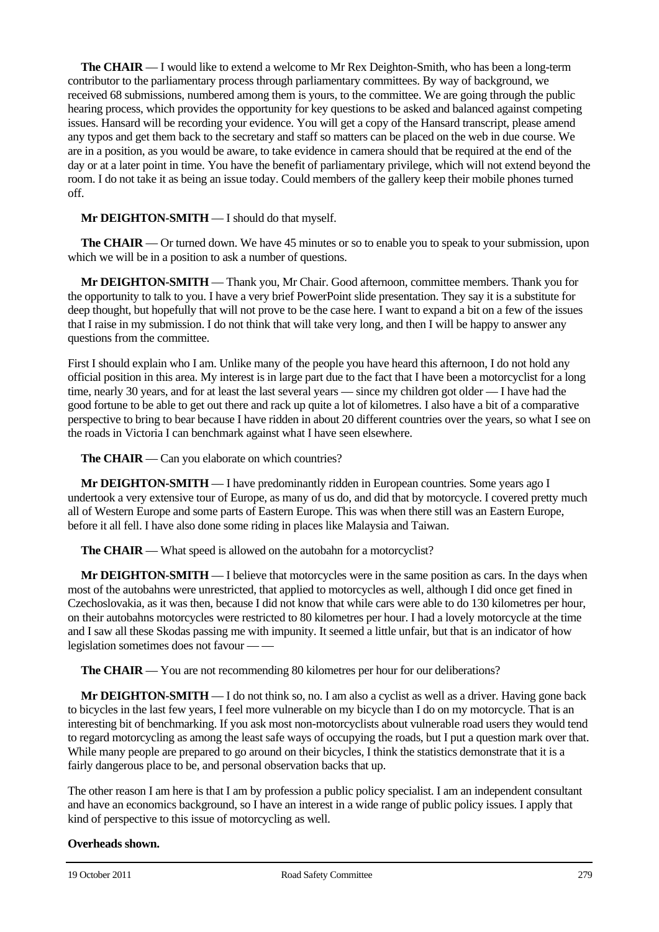**The CHAIR** — I would like to extend a welcome to Mr Rex Deighton-Smith, who has been a long-term contributor to the parliamentary process through parliamentary committees. By way of background, we received 68 submissions, numbered among them is yours, to the committee. We are going through the public hearing process, which provides the opportunity for key questions to be asked and balanced against competing issues. Hansard will be recording your evidence. You will get a copy of the Hansard transcript, please amend any typos and get them back to the secretary and staff so matters can be placed on the web in due course. We are in a position, as you would be aware, to take evidence in camera should that be required at the end of the day or at a later point in time. You have the benefit of parliamentary privilege, which will not extend beyond the room. I do not take it as being an issue today. Could members of the gallery keep their mobile phones turned off.

#### **Mr DEIGHTON-SMITH** — I should do that myself.

**The CHAIR** — Or turned down. We have 45 minutes or so to enable you to speak to your submission, upon which we will be in a position to ask a number of questions.

**Mr DEIGHTON-SMITH** — Thank you, Mr Chair. Good afternoon, committee members. Thank you for the opportunity to talk to you. I have a very brief PowerPoint slide presentation. They say it is a substitute for deep thought, but hopefully that will not prove to be the case here. I want to expand a bit on a few of the issues that I raise in my submission. I do not think that will take very long, and then I will be happy to answer any questions from the committee.

First I should explain who I am. Unlike many of the people you have heard this afternoon, I do not hold any official position in this area. My interest is in large part due to the fact that I have been a motorcyclist for a long time, nearly 30 years, and for at least the last several years — since my children got older — I have had the good fortune to be able to get out there and rack up quite a lot of kilometres. I also have a bit of a comparative perspective to bring to bear because I have ridden in about 20 different countries over the years, so what I see on the roads in Victoria I can benchmark against what I have seen elsewhere.

**The CHAIR** — Can you elaborate on which countries?

**Mr DEIGHTON-SMITH** — I have predominantly ridden in European countries. Some years ago I undertook a very extensive tour of Europe, as many of us do, and did that by motorcycle. I covered pretty much all of Western Europe and some parts of Eastern Europe. This was when there still was an Eastern Europe, before it all fell. I have also done some riding in places like Malaysia and Taiwan.

**The CHAIR** — What speed is allowed on the autobahn for a motorcyclist?

**Mr DEIGHTON-SMITH** — I believe that motorcycles were in the same position as cars. In the days when most of the autobahns were unrestricted, that applied to motorcycles as well, although I did once get fined in Czechoslovakia, as it was then, because I did not know that while cars were able to do 130 kilometres per hour, on their autobahns motorcycles were restricted to 80 kilometres per hour. I had a lovely motorcycle at the time and I saw all these Skodas passing me with impunity. It seemed a little unfair, but that is an indicator of how legislation sometimes does not favour — —

**The CHAIR** — You are not recommending 80 kilometres per hour for our deliberations?

**Mr DEIGHTON-SMITH** — I do not think so, no. I am also a cyclist as well as a driver. Having gone back to bicycles in the last few years, I feel more vulnerable on my bicycle than I do on my motorcycle. That is an interesting bit of benchmarking. If you ask most non-motorcyclists about vulnerable road users they would tend to regard motorcycling as among the least safe ways of occupying the roads, but I put a question mark over that. While many people are prepared to go around on their bicycles, I think the statistics demonstrate that it is a fairly dangerous place to be, and personal observation backs that up.

The other reason I am here is that I am by profession a public policy specialist. I am an independent consultant and have an economics background, so I have an interest in a wide range of public policy issues. I apply that kind of perspective to this issue of motorcycling as well.

#### **Overheads shown.**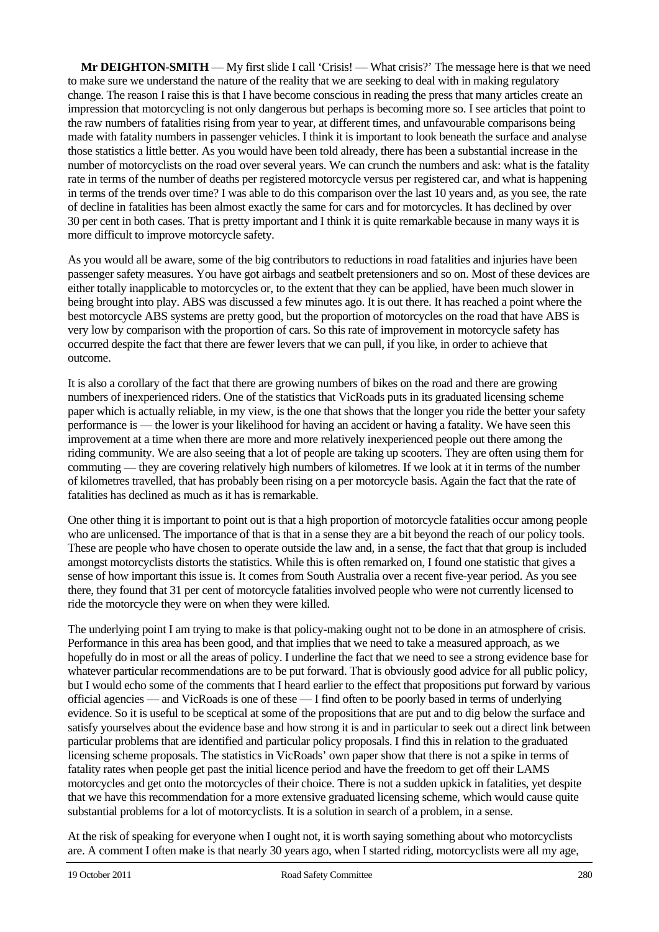**Mr DEIGHTON-SMITH** — My first slide I call 'Crisis! — What crisis?' The message here is that we need to make sure we understand the nature of the reality that we are seeking to deal with in making regulatory change. The reason I raise this is that I have become conscious in reading the press that many articles create an impression that motorcycling is not only dangerous but perhaps is becoming more so. I see articles that point to the raw numbers of fatalities rising from year to year, at different times, and unfavourable comparisons being made with fatality numbers in passenger vehicles. I think it is important to look beneath the surface and analyse those statistics a little better. As you would have been told already, there has been a substantial increase in the number of motorcyclists on the road over several years. We can crunch the numbers and ask: what is the fatality rate in terms of the number of deaths per registered motorcycle versus per registered car, and what is happening in terms of the trends over time? I was able to do this comparison over the last 10 years and, as you see, the rate of decline in fatalities has been almost exactly the same for cars and for motorcycles. It has declined by over 30 per cent in both cases. That is pretty important and I think it is quite remarkable because in many ways it is more difficult to improve motorcycle safety.

As you would all be aware, some of the big contributors to reductions in road fatalities and injuries have been passenger safety measures. You have got airbags and seatbelt pretensioners and so on. Most of these devices are either totally inapplicable to motorcycles or, to the extent that they can be applied, have been much slower in being brought into play. ABS was discussed a few minutes ago. It is out there. It has reached a point where the best motorcycle ABS systems are pretty good, but the proportion of motorcycles on the road that have ABS is very low by comparison with the proportion of cars. So this rate of improvement in motorcycle safety has occurred despite the fact that there are fewer levers that we can pull, if you like, in order to achieve that outcome.

It is also a corollary of the fact that there are growing numbers of bikes on the road and there are growing numbers of inexperienced riders. One of the statistics that VicRoads puts in its graduated licensing scheme paper which is actually reliable, in my view, is the one that shows that the longer you ride the better your safety performance is — the lower is your likelihood for having an accident or having a fatality. We have seen this improvement at a time when there are more and more relatively inexperienced people out there among the riding community. We are also seeing that a lot of people are taking up scooters. They are often using them for commuting — they are covering relatively high numbers of kilometres. If we look at it in terms of the number of kilometres travelled, that has probably been rising on a per motorcycle basis. Again the fact that the rate of fatalities has declined as much as it has is remarkable.

One other thing it is important to point out is that a high proportion of motorcycle fatalities occur among people who are unlicensed. The importance of that is that in a sense they are a bit beyond the reach of our policy tools. These are people who have chosen to operate outside the law and, in a sense, the fact that that group is included amongst motorcyclists distorts the statistics. While this is often remarked on, I found one statistic that gives a sense of how important this issue is. It comes from South Australia over a recent five-year period. As you see there, they found that 31 per cent of motorcycle fatalities involved people who were not currently licensed to ride the motorcycle they were on when they were killed.

The underlying point I am trying to make is that policy-making ought not to be done in an atmosphere of crisis. Performance in this area has been good, and that implies that we need to take a measured approach, as we hopefully do in most or all the areas of policy. I underline the fact that we need to see a strong evidence base for whatever particular recommendations are to be put forward. That is obviously good advice for all public policy, but I would echo some of the comments that I heard earlier to the effect that propositions put forward by various official agencies — and VicRoads is one of these — I find often to be poorly based in terms of underlying evidence. So it is useful to be sceptical at some of the propositions that are put and to dig below the surface and satisfy yourselves about the evidence base and how strong it is and in particular to seek out a direct link between particular problems that are identified and particular policy proposals. I find this in relation to the graduated licensing scheme proposals. The statistics in VicRoads' own paper show that there is not a spike in terms of fatality rates when people get past the initial licence period and have the freedom to get off their LAMS motorcycles and get onto the motorcycles of their choice. There is not a sudden upkick in fatalities, yet despite that we have this recommendation for a more extensive graduated licensing scheme, which would cause quite substantial problems for a lot of motorcyclists. It is a solution in search of a problem, in a sense.

At the risk of speaking for everyone when I ought not, it is worth saying something about who motorcyclists are. A comment I often make is that nearly 30 years ago, when I started riding, motorcyclists were all my age,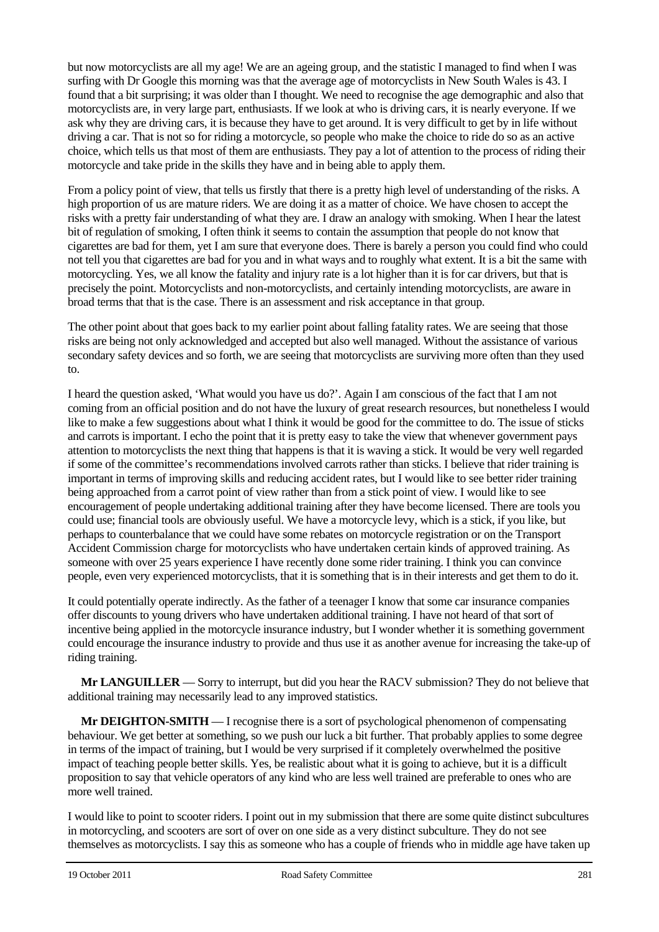but now motorcyclists are all my age! We are an ageing group, and the statistic I managed to find when I was surfing with Dr Google this morning was that the average age of motorcyclists in New South Wales is 43. I found that a bit surprising; it was older than I thought. We need to recognise the age demographic and also that motorcyclists are, in very large part, enthusiasts. If we look at who is driving cars, it is nearly everyone. If we ask why they are driving cars, it is because they have to get around. It is very difficult to get by in life without driving a car. That is not so for riding a motorcycle, so people who make the choice to ride do so as an active choice, which tells us that most of them are enthusiasts. They pay a lot of attention to the process of riding their motorcycle and take pride in the skills they have and in being able to apply them.

From a policy point of view, that tells us firstly that there is a pretty high level of understanding of the risks. A high proportion of us are mature riders. We are doing it as a matter of choice. We have chosen to accept the risks with a pretty fair understanding of what they are. I draw an analogy with smoking. When I hear the latest bit of regulation of smoking, I often think it seems to contain the assumption that people do not know that cigarettes are bad for them, yet I am sure that everyone does. There is barely a person you could find who could not tell you that cigarettes are bad for you and in what ways and to roughly what extent. It is a bit the same with motorcycling. Yes, we all know the fatality and injury rate is a lot higher than it is for car drivers, but that is precisely the point. Motorcyclists and non-motorcyclists, and certainly intending motorcyclists, are aware in broad terms that that is the case. There is an assessment and risk acceptance in that group.

The other point about that goes back to my earlier point about falling fatality rates. We are seeing that those risks are being not only acknowledged and accepted but also well managed. Without the assistance of various secondary safety devices and so forth, we are seeing that motorcyclists are surviving more often than they used to.

I heard the question asked, 'What would you have us do?'. Again I am conscious of the fact that I am not coming from an official position and do not have the luxury of great research resources, but nonetheless I would like to make a few suggestions about what I think it would be good for the committee to do. The issue of sticks and carrots is important. I echo the point that it is pretty easy to take the view that whenever government pays attention to motorcyclists the next thing that happens is that it is waving a stick. It would be very well regarded if some of the committee's recommendations involved carrots rather than sticks. I believe that rider training is important in terms of improving skills and reducing accident rates, but I would like to see better rider training being approached from a carrot point of view rather than from a stick point of view. I would like to see encouragement of people undertaking additional training after they have become licensed. There are tools you could use; financial tools are obviously useful. We have a motorcycle levy, which is a stick, if you like, but perhaps to counterbalance that we could have some rebates on motorcycle registration or on the Transport Accident Commission charge for motorcyclists who have undertaken certain kinds of approved training. As someone with over 25 years experience I have recently done some rider training. I think you can convince people, even very experienced motorcyclists, that it is something that is in their interests and get them to do it.

It could potentially operate indirectly. As the father of a teenager I know that some car insurance companies offer discounts to young drivers who have undertaken additional training. I have not heard of that sort of incentive being applied in the motorcycle insurance industry, but I wonder whether it is something government could encourage the insurance industry to provide and thus use it as another avenue for increasing the take-up of riding training.

**Mr LANGUILLER** — Sorry to interrupt, but did you hear the RACV submission? They do not believe that additional training may necessarily lead to any improved statistics.

**Mr DEIGHTON-SMITH** — I recognise there is a sort of psychological phenomenon of compensating behaviour. We get better at something, so we push our luck a bit further. That probably applies to some degree in terms of the impact of training, but I would be very surprised if it completely overwhelmed the positive impact of teaching people better skills. Yes, be realistic about what it is going to achieve, but it is a difficult proposition to say that vehicle operators of any kind who are less well trained are preferable to ones who are more well trained.

I would like to point to scooter riders. I point out in my submission that there are some quite distinct subcultures in motorcycling, and scooters are sort of over on one side as a very distinct subculture. They do not see themselves as motorcyclists. I say this as someone who has a couple of friends who in middle age have taken up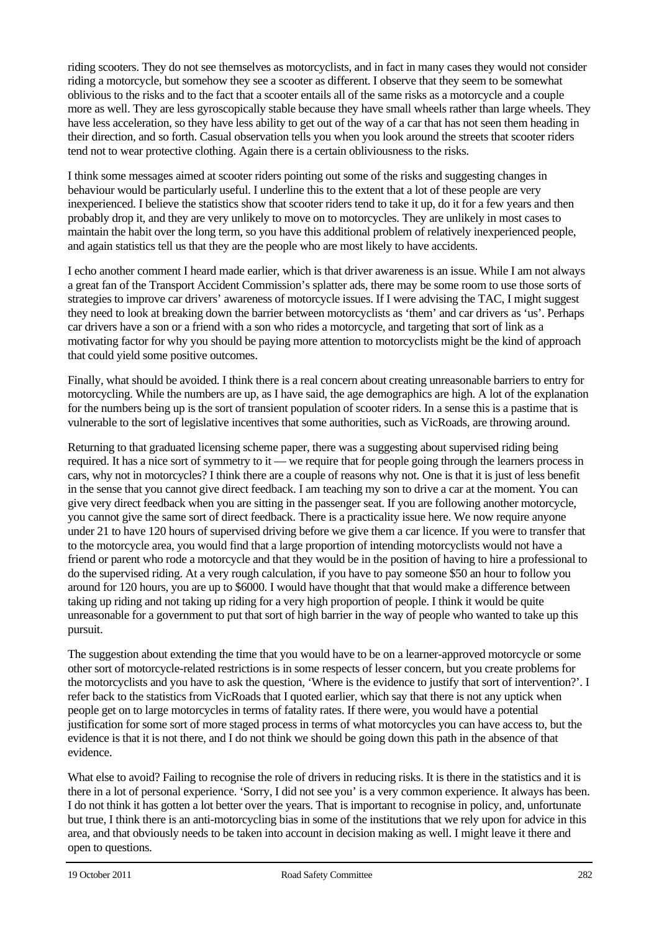riding scooters. They do not see themselves as motorcyclists, and in fact in many cases they would not consider riding a motorcycle, but somehow they see a scooter as different. I observe that they seem to be somewhat oblivious to the risks and to the fact that a scooter entails all of the same risks as a motorcycle and a couple more as well. They are less gyroscopically stable because they have small wheels rather than large wheels. They have less acceleration, so they have less ability to get out of the way of a car that has not seen them heading in their direction, and so forth. Casual observation tells you when you look around the streets that scooter riders tend not to wear protective clothing. Again there is a certain obliviousness to the risks.

I think some messages aimed at scooter riders pointing out some of the risks and suggesting changes in behaviour would be particularly useful. I underline this to the extent that a lot of these people are very inexperienced. I believe the statistics show that scooter riders tend to take it up, do it for a few years and then probably drop it, and they are very unlikely to move on to motorcycles. They are unlikely in most cases to maintain the habit over the long term, so you have this additional problem of relatively inexperienced people, and again statistics tell us that they are the people who are most likely to have accidents.

I echo another comment I heard made earlier, which is that driver awareness is an issue. While I am not always a great fan of the Transport Accident Commission's splatter ads, there may be some room to use those sorts of strategies to improve car drivers' awareness of motorcycle issues. If I were advising the TAC, I might suggest they need to look at breaking down the barrier between motorcyclists as 'them' and car drivers as 'us'. Perhaps car drivers have a son or a friend with a son who rides a motorcycle, and targeting that sort of link as a motivating factor for why you should be paying more attention to motorcyclists might be the kind of approach that could yield some positive outcomes.

Finally, what should be avoided. I think there is a real concern about creating unreasonable barriers to entry for motorcycling. While the numbers are up, as I have said, the age demographics are high. A lot of the explanation for the numbers being up is the sort of transient population of scooter riders. In a sense this is a pastime that is vulnerable to the sort of legislative incentives that some authorities, such as VicRoads, are throwing around.

Returning to that graduated licensing scheme paper, there was a suggesting about supervised riding being required. It has a nice sort of symmetry to it — we require that for people going through the learners process in cars, why not in motorcycles? I think there are a couple of reasons why not. One is that it is just of less benefit in the sense that you cannot give direct feedback. I am teaching my son to drive a car at the moment. You can give very direct feedback when you are sitting in the passenger seat. If you are following another motorcycle, you cannot give the same sort of direct feedback. There is a practicality issue here. We now require anyone under 21 to have 120 hours of supervised driving before we give them a car licence. If you were to transfer that to the motorcycle area, you would find that a large proportion of intending motorcyclists would not have a friend or parent who rode a motorcycle and that they would be in the position of having to hire a professional to do the supervised riding. At a very rough calculation, if you have to pay someone \$50 an hour to follow you around for 120 hours, you are up to \$6000. I would have thought that that would make a difference between taking up riding and not taking up riding for a very high proportion of people. I think it would be quite unreasonable for a government to put that sort of high barrier in the way of people who wanted to take up this pursuit.

The suggestion about extending the time that you would have to be on a learner-approved motorcycle or some other sort of motorcycle-related restrictions is in some respects of lesser concern, but you create problems for the motorcyclists and you have to ask the question, 'Where is the evidence to justify that sort of intervention?'. I refer back to the statistics from VicRoads that I quoted earlier, which say that there is not any uptick when people get on to large motorcycles in terms of fatality rates. If there were, you would have a potential justification for some sort of more staged process in terms of what motorcycles you can have access to, but the evidence is that it is not there, and I do not think we should be going down this path in the absence of that evidence.

What else to avoid? Failing to recognise the role of drivers in reducing risks. It is there in the statistics and it is there in a lot of personal experience. 'Sorry, I did not see you' is a very common experience. It always has been. I do not think it has gotten a lot better over the years. That is important to recognise in policy, and, unfortunate but true, I think there is an anti-motorcycling bias in some of the institutions that we rely upon for advice in this area, and that obviously needs to be taken into account in decision making as well. I might leave it there and open to questions.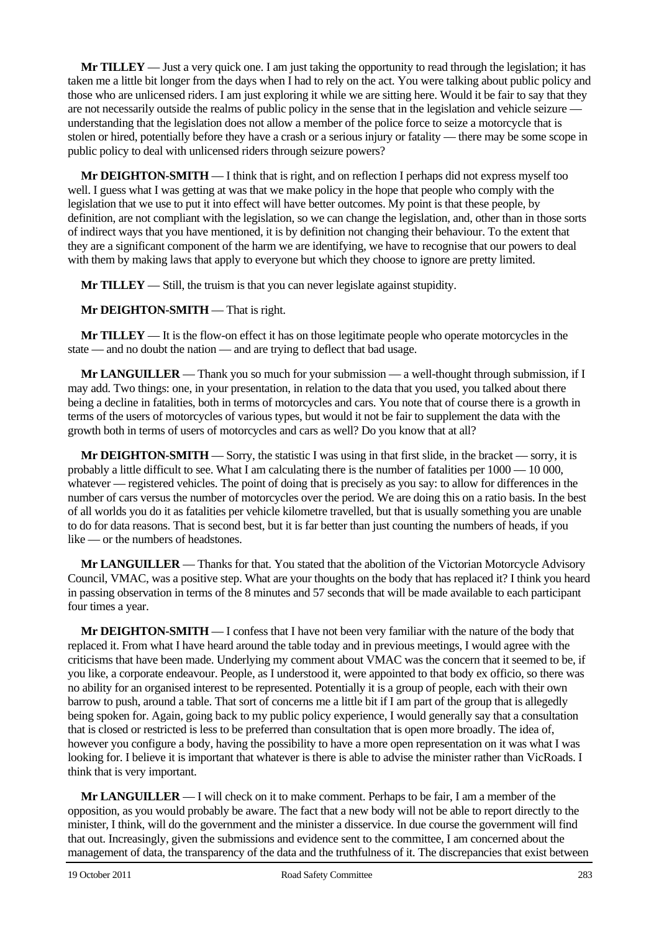**Mr TILLEY** — Just a very quick one. I am just taking the opportunity to read through the legislation; it has taken me a little bit longer from the days when I had to rely on the act. You were talking about public policy and those who are unlicensed riders. I am just exploring it while we are sitting here. Would it be fair to say that they are not necessarily outside the realms of public policy in the sense that in the legislation and vehicle seizure understanding that the legislation does not allow a member of the police force to seize a motorcycle that is stolen or hired, potentially before they have a crash or a serious injury or fatality — there may be some scope in public policy to deal with unlicensed riders through seizure powers?

**Mr DEIGHTON-SMITH** — I think that is right, and on reflection I perhaps did not express myself too well. I guess what I was getting at was that we make policy in the hope that people who comply with the legislation that we use to put it into effect will have better outcomes. My point is that these people, by definition, are not compliant with the legislation, so we can change the legislation, and, other than in those sorts of indirect ways that you have mentioned, it is by definition not changing their behaviour. To the extent that they are a significant component of the harm we are identifying, we have to recognise that our powers to deal with them by making laws that apply to everyone but which they choose to ignore are pretty limited.

**Mr TILLEY** — Still, the truism is that you can never legislate against stupidity.

## **Mr DEIGHTON-SMITH** — That is right.

**Mr TILLEY** — It is the flow-on effect it has on those legitimate people who operate motorcycles in the state — and no doubt the nation — and are trying to deflect that bad usage.

**Mr LANGUILLER** — Thank you so much for your submission — a well-thought through submission, if I may add. Two things: one, in your presentation, in relation to the data that you used, you talked about there being a decline in fatalities, both in terms of motorcycles and cars. You note that of course there is a growth in terms of the users of motorcycles of various types, but would it not be fair to supplement the data with the growth both in terms of users of motorcycles and cars as well? Do you know that at all?

**Mr DEIGHTON-SMITH** — Sorry, the statistic I was using in that first slide, in the bracket — sorry, it is probably a little difficult to see. What I am calculating there is the number of fatalities per  $1000 - 10000$ . whatever — registered vehicles. The point of doing that is precisely as you say: to allow for differences in the number of cars versus the number of motorcycles over the period. We are doing this on a ratio basis. In the best of all worlds you do it as fatalities per vehicle kilometre travelled, but that is usually something you are unable to do for data reasons. That is second best, but it is far better than just counting the numbers of heads, if you like — or the numbers of headstones.

**Mr LANGUILLER** — Thanks for that. You stated that the abolition of the Victorian Motorcycle Advisory Council, VMAC, was a positive step. What are your thoughts on the body that has replaced it? I think you heard in passing observation in terms of the 8 minutes and 57 seconds that will be made available to each participant four times a year.

**Mr DEIGHTON-SMITH** — I confess that I have not been very familiar with the nature of the body that replaced it. From what I have heard around the table today and in previous meetings, I would agree with the criticisms that have been made. Underlying my comment about VMAC was the concern that it seemed to be, if you like, a corporate endeavour. People, as I understood it, were appointed to that body ex officio, so there was no ability for an organised interest to be represented. Potentially it is a group of people, each with their own barrow to push, around a table. That sort of concerns me a little bit if I am part of the group that is allegedly being spoken for. Again, going back to my public policy experience, I would generally say that a consultation that is closed or restricted is less to be preferred than consultation that is open more broadly. The idea of, however you configure a body, having the possibility to have a more open representation on it was what I was looking for. I believe it is important that whatever is there is able to advise the minister rather than VicRoads. I think that is very important.

**Mr LANGUILLER** — I will check on it to make comment. Perhaps to be fair, I am a member of the opposition, as you would probably be aware. The fact that a new body will not be able to report directly to the minister, I think, will do the government and the minister a disservice. In due course the government will find that out. Increasingly, given the submissions and evidence sent to the committee, I am concerned about the management of data, the transparency of the data and the truthfulness of it. The discrepancies that exist between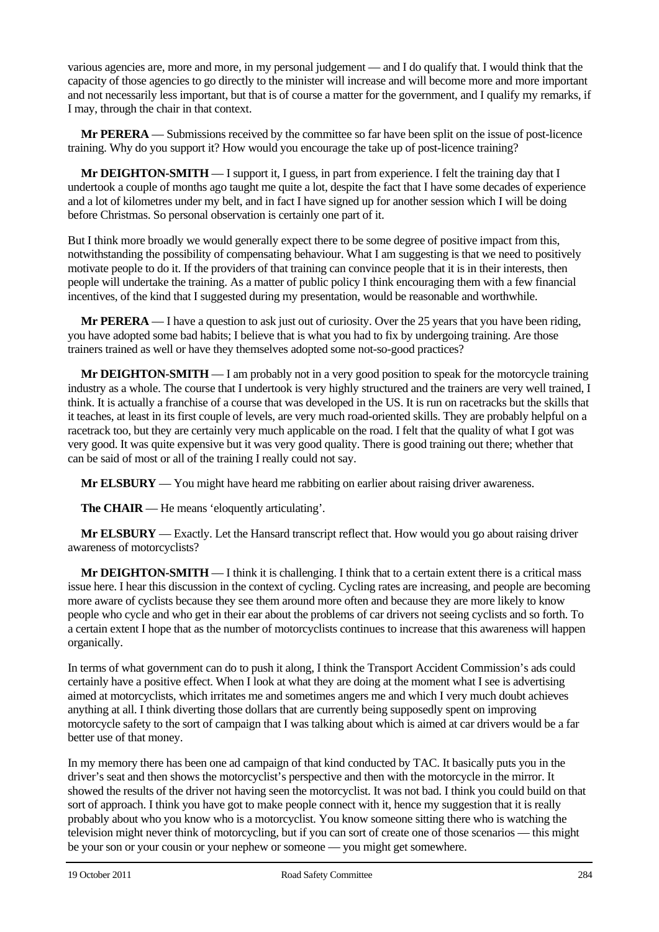various agencies are, more and more, in my personal judgement — and I do qualify that. I would think that the capacity of those agencies to go directly to the minister will increase and will become more and more important and not necessarily less important, but that is of course a matter for the government, and I qualify my remarks, if I may, through the chair in that context.

**Mr PERERA** — Submissions received by the committee so far have been split on the issue of post-licence training. Why do you support it? How would you encourage the take up of post-licence training?

**Mr DEIGHTON-SMITH** — I support it, I guess, in part from experience. I felt the training day that I undertook a couple of months ago taught me quite a lot, despite the fact that I have some decades of experience and a lot of kilometres under my belt, and in fact I have signed up for another session which I will be doing before Christmas. So personal observation is certainly one part of it.

But I think more broadly we would generally expect there to be some degree of positive impact from this, notwithstanding the possibility of compensating behaviour. What I am suggesting is that we need to positively motivate people to do it. If the providers of that training can convince people that it is in their interests, then people will undertake the training. As a matter of public policy I think encouraging them with a few financial incentives, of the kind that I suggested during my presentation, would be reasonable and worthwhile.

**Mr PERERA** — I have a question to ask just out of curiosity. Over the 25 years that you have been riding, you have adopted some bad habits; I believe that is what you had to fix by undergoing training. Are those trainers trained as well or have they themselves adopted some not-so-good practices?

**Mr DEIGHTON-SMITH** — I am probably not in a very good position to speak for the motorcycle training industry as a whole. The course that I undertook is very highly structured and the trainers are very well trained, I think. It is actually a franchise of a course that was developed in the US. It is run on racetracks but the skills that it teaches, at least in its first couple of levels, are very much road-oriented skills. They are probably helpful on a racetrack too, but they are certainly very much applicable on the road. I felt that the quality of what I got was very good. It was quite expensive but it was very good quality. There is good training out there; whether that can be said of most or all of the training I really could not say.

**Mr ELSBURY** — You might have heard me rabbiting on earlier about raising driver awareness.

**The CHAIR** — He means 'eloquently articulating'.

**Mr ELSBURY** — Exactly. Let the Hansard transcript reflect that. How would you go about raising driver awareness of motorcyclists?

**Mr DEIGHTON-SMITH** — I think it is challenging. I think that to a certain extent there is a critical mass issue here. I hear this discussion in the context of cycling. Cycling rates are increasing, and people are becoming more aware of cyclists because they see them around more often and because they are more likely to know people who cycle and who get in their ear about the problems of car drivers not seeing cyclists and so forth. To a certain extent I hope that as the number of motorcyclists continues to increase that this awareness will happen organically.

In terms of what government can do to push it along, I think the Transport Accident Commission's ads could certainly have a positive effect. When I look at what they are doing at the moment what I see is advertising aimed at motorcyclists, which irritates me and sometimes angers me and which I very much doubt achieves anything at all. I think diverting those dollars that are currently being supposedly spent on improving motorcycle safety to the sort of campaign that I was talking about which is aimed at car drivers would be a far better use of that money.

In my memory there has been one ad campaign of that kind conducted by TAC. It basically puts you in the driver's seat and then shows the motorcyclist's perspective and then with the motorcycle in the mirror. It showed the results of the driver not having seen the motorcyclist. It was not bad. I think you could build on that sort of approach. I think you have got to make people connect with it, hence my suggestion that it is really probably about who you know who is a motorcyclist. You know someone sitting there who is watching the television might never think of motorcycling, but if you can sort of create one of those scenarios — this might be your son or your cousin or your nephew or someone — you might get somewhere.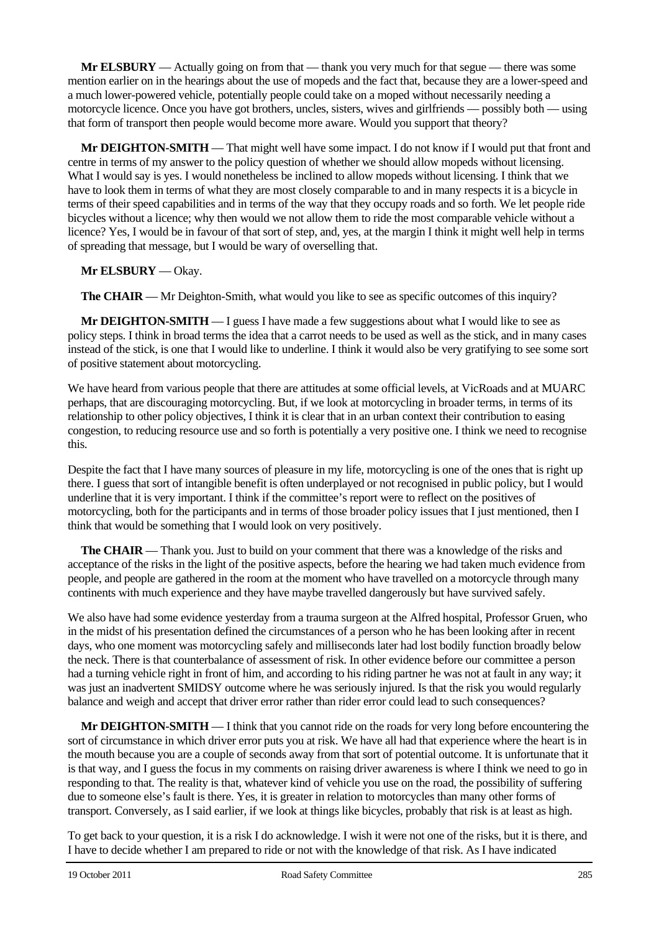**Mr ELSBURY** — Actually going on from that — thank you very much for that segue — there was some mention earlier on in the hearings about the use of mopeds and the fact that, because they are a lower-speed and a much lower-powered vehicle, potentially people could take on a moped without necessarily needing a motorcycle licence. Once you have got brothers, uncles, sisters, wives and girlfriends — possibly both — using that form of transport then people would become more aware. Would you support that theory?

**Mr DEIGHTON-SMITH** — That might well have some impact. I do not know if I would put that front and centre in terms of my answer to the policy question of whether we should allow mopeds without licensing. What I would say is yes. I would nonetheless be inclined to allow mopeds without licensing. I think that we have to look them in terms of what they are most closely comparable to and in many respects it is a bicycle in terms of their speed capabilities and in terms of the way that they occupy roads and so forth. We let people ride bicycles without a licence; why then would we not allow them to ride the most comparable vehicle without a licence? Yes, I would be in favour of that sort of step, and, yes, at the margin I think it might well help in terms of spreading that message, but I would be wary of overselling that.

**Mr ELSBURY** — Okay.

**The CHAIR** — Mr Deighton-Smith, what would you like to see as specific outcomes of this inquiry?

**Mr DEIGHTON-SMITH** — I guess I have made a few suggestions about what I would like to see as policy steps. I think in broad terms the idea that a carrot needs to be used as well as the stick, and in many cases instead of the stick, is one that I would like to underline. I think it would also be very gratifying to see some sort of positive statement about motorcycling.

We have heard from various people that there are attitudes at some official levels, at VicRoads and at MUARC perhaps, that are discouraging motorcycling. But, if we look at motorcycling in broader terms, in terms of its relationship to other policy objectives, I think it is clear that in an urban context their contribution to easing congestion, to reducing resource use and so forth is potentially a very positive one. I think we need to recognise this.

Despite the fact that I have many sources of pleasure in my life, motorcycling is one of the ones that is right up there. I guess that sort of intangible benefit is often underplayed or not recognised in public policy, but I would underline that it is very important. I think if the committee's report were to reflect on the positives of motorcycling, both for the participants and in terms of those broader policy issues that I just mentioned, then I think that would be something that I would look on very positively.

**The CHAIR** — Thank you. Just to build on your comment that there was a knowledge of the risks and acceptance of the risks in the light of the positive aspects, before the hearing we had taken much evidence from people, and people are gathered in the room at the moment who have travelled on a motorcycle through many continents with much experience and they have maybe travelled dangerously but have survived safely.

We also have had some evidence yesterday from a trauma surgeon at the Alfred hospital, Professor Gruen, who in the midst of his presentation defined the circumstances of a person who he has been looking after in recent days, who one moment was motorcycling safely and milliseconds later had lost bodily function broadly below the neck. There is that counterbalance of assessment of risk. In other evidence before our committee a person had a turning vehicle right in front of him, and according to his riding partner he was not at fault in any way; it was just an inadvertent SMIDSY outcome where he was seriously injured. Is that the risk you would regularly balance and weigh and accept that driver error rather than rider error could lead to such consequences?

**Mr DEIGHTON-SMITH** — I think that you cannot ride on the roads for very long before encountering the sort of circumstance in which driver error puts you at risk. We have all had that experience where the heart is in the mouth because you are a couple of seconds away from that sort of potential outcome. It is unfortunate that it is that way, and I guess the focus in my comments on raising driver awareness is where I think we need to go in responding to that. The reality is that, whatever kind of vehicle you use on the road, the possibility of suffering due to someone else's fault is there. Yes, it is greater in relation to motorcycles than many other forms of transport. Conversely, as I said earlier, if we look at things like bicycles, probably that risk is at least as high.

To get back to your question, it is a risk I do acknowledge. I wish it were not one of the risks, but it is there, and I have to decide whether I am prepared to ride or not with the knowledge of that risk. As I have indicated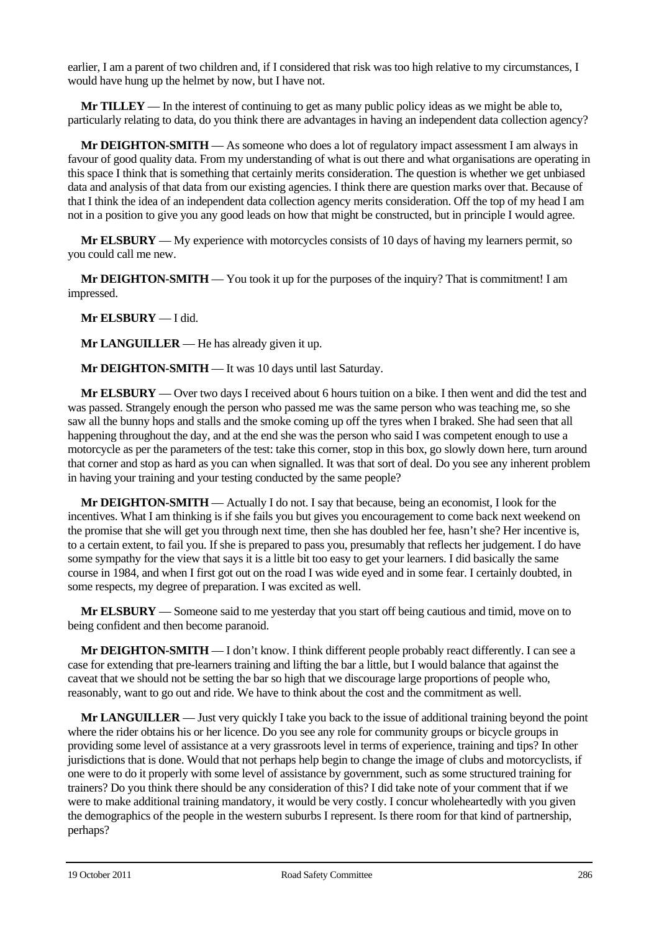earlier, I am a parent of two children and, if I considered that risk was too high relative to my circumstances, I would have hung up the helmet by now, but I have not.

**Mr TILLEY** — In the interest of continuing to get as many public policy ideas as we might be able to, particularly relating to data, do you think there are advantages in having an independent data collection agency?

**Mr DEIGHTON-SMITH** — As someone who does a lot of regulatory impact assessment I am always in favour of good quality data. From my understanding of what is out there and what organisations are operating in this space I think that is something that certainly merits consideration. The question is whether we get unbiased data and analysis of that data from our existing agencies. I think there are question marks over that. Because of that I think the idea of an independent data collection agency merits consideration. Off the top of my head I am not in a position to give you any good leads on how that might be constructed, but in principle I would agree.

**Mr ELSBURY** — My experience with motorcycles consists of 10 days of having my learners permit, so you could call me new.

**Mr DEIGHTON-SMITH** — You took it up for the purposes of the inquiry? That is commitment! I am impressed.

**Mr ELSBURY** — I did.

**Mr LANGUILLER** — He has already given it up.

**Mr DEIGHTON-SMITH** — It was 10 days until last Saturday.

**Mr ELSBURY** — Over two days I received about 6 hours tuition on a bike. I then went and did the test and was passed. Strangely enough the person who passed me was the same person who was teaching me, so she saw all the bunny hops and stalls and the smoke coming up off the tyres when I braked. She had seen that all happening throughout the day, and at the end she was the person who said I was competent enough to use a motorcycle as per the parameters of the test: take this corner, stop in this box, go slowly down here, turn around that corner and stop as hard as you can when signalled. It was that sort of deal. Do you see any inherent problem in having your training and your testing conducted by the same people?

**Mr DEIGHTON-SMITH** — Actually I do not. I say that because, being an economist, I look for the incentives. What I am thinking is if she fails you but gives you encouragement to come back next weekend on the promise that she will get you through next time, then she has doubled her fee, hasn't she? Her incentive is, to a certain extent, to fail you. If she is prepared to pass you, presumably that reflects her judgement. I do have some sympathy for the view that says it is a little bit too easy to get your learners. I did basically the same course in 1984, and when I first got out on the road I was wide eyed and in some fear. I certainly doubted, in some respects, my degree of preparation. I was excited as well.

**Mr ELSBURY** — Someone said to me yesterday that you start off being cautious and timid, move on to being confident and then become paranoid.

**Mr DEIGHTON-SMITH** — I don't know. I think different people probably react differently. I can see a case for extending that pre-learners training and lifting the bar a little, but I would balance that against the caveat that we should not be setting the bar so high that we discourage large proportions of people who, reasonably, want to go out and ride. We have to think about the cost and the commitment as well.

**Mr LANGUILLER** — Just very quickly I take you back to the issue of additional training beyond the point where the rider obtains his or her licence. Do you see any role for community groups or bicycle groups in providing some level of assistance at a very grassroots level in terms of experience, training and tips? In other jurisdictions that is done. Would that not perhaps help begin to change the image of clubs and motorcyclists, if one were to do it properly with some level of assistance by government, such as some structured training for trainers? Do you think there should be any consideration of this? I did take note of your comment that if we were to make additional training mandatory, it would be very costly. I concur wholeheartedly with you given the demographics of the people in the western suburbs I represent. Is there room for that kind of partnership, perhaps?